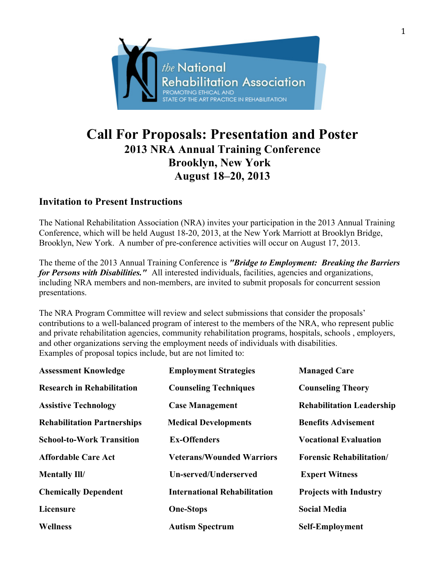

# **Call For Proposals: Presentation and Poster 2013 NRA Annual Training Conference Brooklyn, New York August 18–20, 2013**

## **Invitation to Present Instructions**

The National Rehabilitation Association (NRA) invites your participation in the 2013 Annual Training Conference, which will be held August 18-20, 2013, at the New York Marriott at Brooklyn Bridge, Brooklyn, New York. A number of pre-conference activities will occur on August 17, 2013.

The theme of the 2013 Annual Training Conference is *"Bridge to Employment: Breaking the Barriers for Persons with Disabilities."* All interested individuals, facilities, agencies and organizations, including NRA members and non-members, are invited to submit proposals for concurrent session presentations.

The NRA Program Committee will review and select submissions that consider the proposals' contributions to a well-balanced program of interest to the members of the NRA, who represent public and private rehabilitation agencies, community rehabilitation programs, hospitals, schools , employers, and other organizations serving the employment needs of individuals with disabilities. Examples of proposal topics include, but are not limited to:

| <b>Assessment Knowledge</b>        | <b>Employment Strategies</b>        | <b>Managed Care</b>              |
|------------------------------------|-------------------------------------|----------------------------------|
| <b>Research in Rehabilitation</b>  | <b>Counseling Techniques</b>        | <b>Counseling Theory</b>         |
| <b>Assistive Technology</b>        | <b>Case Management</b>              | <b>Rehabilitation Leadership</b> |
| <b>Rehabilitation Partnerships</b> | <b>Medical Developments</b>         | <b>Benefits Advisement</b>       |
| <b>School-to-Work Transition</b>   | <b>Ex-Offenders</b>                 | <b>Vocational Evaluation</b>     |
| <b>Affordable Care Act</b>         | <b>Veterans/Wounded Warriors</b>    | <b>Forensic Rehabilitation/</b>  |
| <b>Mentally Ill/</b>               | Un-served/Underserved               | <b>Expert Witness</b>            |
| <b>Chemically Dependent</b>        | <b>International Rehabilitation</b> | <b>Projects with Industry</b>    |
| <b>Licensure</b>                   | <b>One-Stops</b>                    | <b>Social Media</b>              |
| <b>Wellness</b>                    | <b>Autism Spectrum</b>              | <b>Self-Employment</b>           |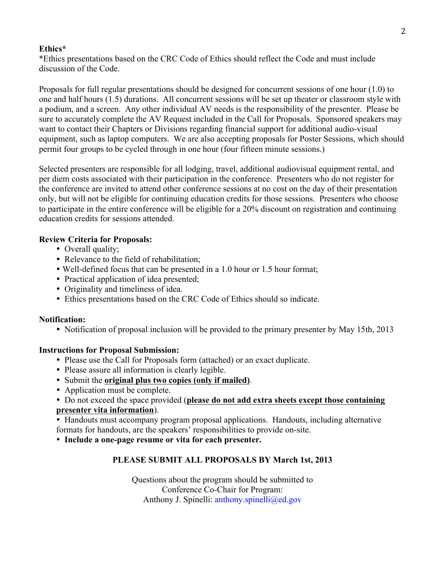#### **Ethics\***

\*Ethics presentations based on the CRC Code of Ethics should reflect the Code and must include discussion of the Code.

Proposals for full regular presentations should be designed for concurrent sessions of one hour (1.0) to one and half hours (1.5) durations. All concurrent sessions will be set up theater or classroom style with a podium, and a screen. Any other individual AV needs is the responsibility of the presenter. Please be sure to accurately complete the AV Request included in the Call for Proposals. Sponsored speakers may want to contact their Chapters or Divisions regarding financial support for additional audio-visual equipment, such as laptop computers. We are also accepting proposals for Poster Sessions, which should permit four groups to be cycled through in one hour (four fifteen minute sessions.)

Selected presenters are responsible for all lodging, travel, additional audiovisual equipment rental, and per diem costs associated with their participation in the conference. Presenters who do not register for the conference are invited to attend other conference sessions at no cost on the day of their presentation only, but will not be eligible for continuing education credits for those sessions. Presenters who choose to participate in the entire conference will be eligible for a 20% discount on registration and continuing education credits for sessions attended.

### **Review Criteria for Proposals:**

- Overall quality;
- Relevance to the field of rehabilitation;
- Well-defined focus that can be presented in a 1.0 hour or 1.5 hour format;
- Practical application of idea presented;
- Originality and timeliness of idea.
- Ethics presentations based on the CRC Code of Ethics should so indicate.

#### **Notification:**

• Notification of proposal inclusion will be provided to the primary presenter by May 15th, 2013

#### **Instructions for Proposal Submission:**

- Please use the Call for Proposals form (attached) or an exact duplicate.
- Please assure all information is clearly legible.
- Submit the **original plus two copies (only if mailed)**.
- Application must be complete.

#### Do not exceed the space provided (**please do not add extra sheets except those containing presenter vita information**).

 Handouts must accompany program proposal applications. Handouts, including alternative formats for handouts, are the speakers' responsibilities to provide on-site.

**Include a one-page resume or vita for each presenter.**

## **PLEASE SUBMIT ALL PROPOSALS BY March 1st, 2013**

Questions about the program should be submitted to Conference Co-Chair for Program: Anthony J. Spinelli: anthony.spinelli@ed.gov